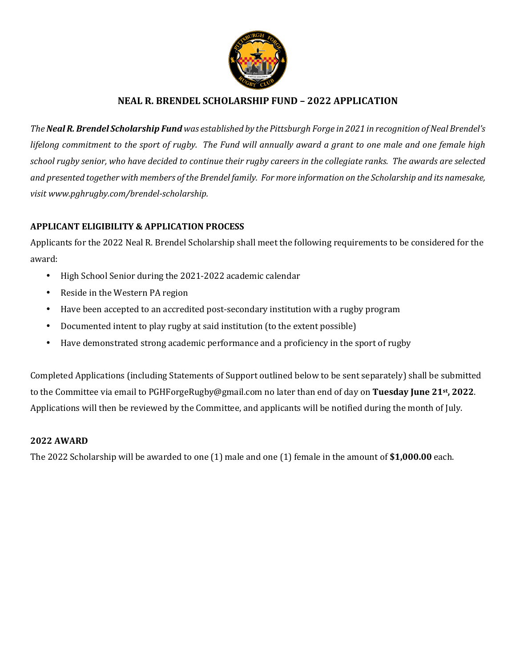

### **NEAL R. BRENDEL SCHOLARSHIP FUND – 2022 APPLICATION**

*The Neal R. Brendel Scholarship Fund was established by the Pittsburgh Forge in 2021 in recognition of Neal Brendel's lifelong commitment to the sport of rugby. The Fund will annually award a grant to one male and one female high school rugby senior, who have decided to continue their rugby careers in the collegiate ranks. The awards are selected and presented together with members of the Brendel family. For more information on the Scholarship and its namesake, visit www.pghrugby.com/brendel-scholarship.* 

### **APPLICANT ELIGIBILITY & APPLICATION PROCESS**

Applicants for the 2022 Neal R. Brendel Scholarship shall meet the following requirements to be considered for the award:

- High School Senior during the 2021-2022 academic calendar
- Reside in the Western PA region
- Have been accepted to an accredited post-secondary institution with a rugby program
- Documented intent to play rugby at said institution (to the extent possible)
- Have demonstrated strong academic performance and a proficiency in the sport of rugby

Completed Applications (including Statements of Support outlined below to be sent separately) shall be submitted to the Committee via email to PGHForgeRugby@gmail.com no later than end of day on **Tuesday June 21st, 2022**. Applications will then be reviewed by the Committee, and applicants will be notified during the month of July.

#### **2022 AWARD**

The 2022 Scholarship will be awarded to one (1) male and one (1) female in the amount of **\$1,000.00** each.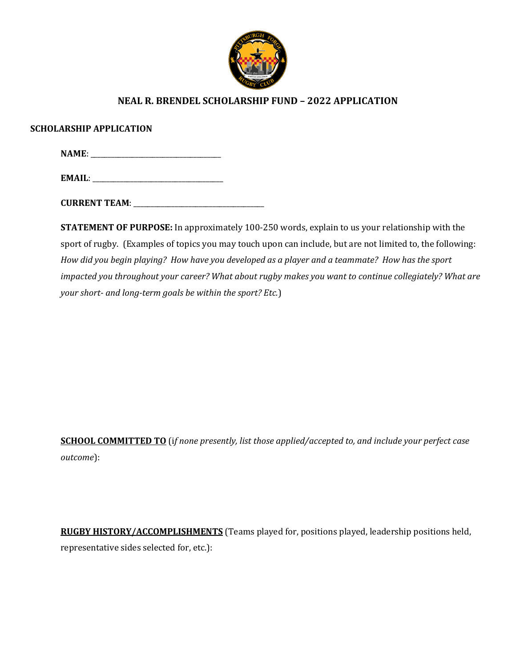

## **NEAL R. BRENDEL SCHOLARSHIP FUND – 2022 APPLICATION**

#### **SCHOLARSHIP APPLICATION**

**NAME**: \_\_\_\_\_\_\_\_\_\_\_\_\_\_\_\_\_\_\_\_\_\_\_\_\_\_\_\_\_\_\_\_\_\_\_\_\_\_

| <b>FMA</b> |  |
|------------|--|
|------------|--|

**CURRENT TEAM**: \_\_\_\_\_\_\_\_\_\_\_\_\_\_\_\_\_\_\_\_\_\_\_\_\_\_\_\_\_\_\_\_\_\_\_\_\_\_

**STATEMENT OF PURPOSE:** In approximately 100-250 words, explain to us your relationship with the sport of rugby. (Examples of topics you may touch upon can include, but are not limited to, the following: *How did you begin playing? How have you developed as a player and a teammate? How has the sport impacted you throughout your career? What about rugby makes you want to continue collegiately? What are your short- and long-term goals be within the sport? Etc.*)

**SCHOOL COMMITTED TO** (i*f none presently, list those applied/accepted to, and include your perfect case outcome*):

**RUGBY HISTORY/ACCOMPLISHMENTS** (Teams played for, positions played, leadership positions held, representative sides selected for, etc.):